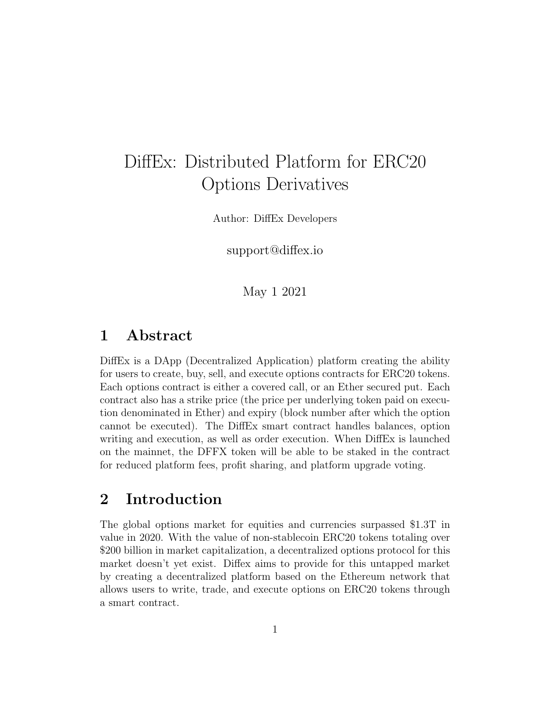# DiffEx: Distributed Platform for ERC20 Options Derivatives

Author: DiffEx Developers

support@diffex.io

May 1 2021

### 1 Abstract

DiffEx is a DApp (Decentralized Application) platform creating the ability for users to create, buy, sell, and execute options contracts for ERC20 tokens. Each options contract is either a covered call, or an Ether secured put. Each contract also has a strike price (the price per underlying token paid on execution denominated in Ether) and expiry (block number after which the option cannot be executed). The DiffEx smart contract handles balances, option writing and execution, as well as order execution. When DiffEx is launched on the mainnet, the DFFX token will be able to be staked in the contract for reduced platform fees, profit sharing, and platform upgrade voting.

# 2 Introduction

The global options market for equities and currencies surpassed \$1.3T in value in 2020. With the value of non-stablecoin ERC20 tokens totaling over \$200 billion in market capitalization, a decentralized options protocol for this market doesn't yet exist. Diffex aims to provide for this untapped market by creating a decentralized platform based on the Ethereum network that allows users to write, trade, and execute options on ERC20 tokens through a smart contract.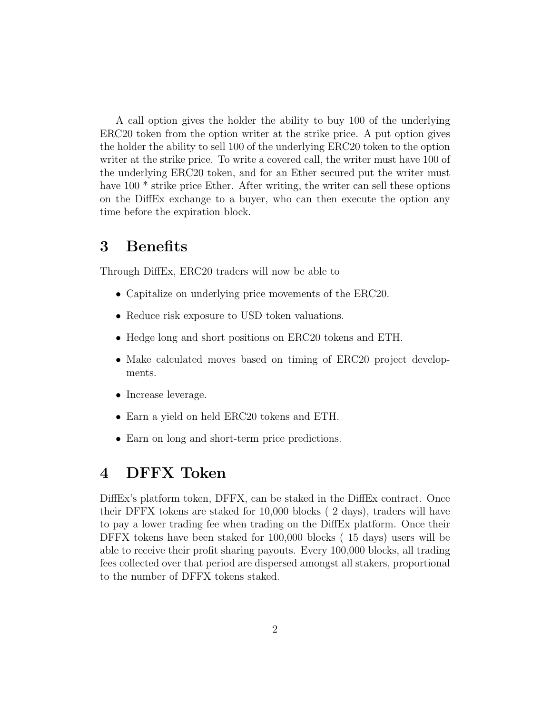A call option gives the holder the ability to buy 100 of the underlying ERC20 token from the option writer at the strike price. A put option gives the holder the ability to sell 100 of the underlying ERC20 token to the option writer at the strike price. To write a covered call, the writer must have 100 of the underlying ERC20 token, and for an Ether secured put the writer must have 100<sup>\*</sup> strike price Ether. After writing, the writer can sell these options on the DiffEx exchange to a buyer, who can then execute the option any time before the expiration block.

### 3 Benefits

Through DiffEx, ERC20 traders will now be able to

- Capitalize on underlying price movements of the ERC20.
- Reduce risk exposure to USD token valuations.
- Hedge long and short positions on ERC20 tokens and ETH.
- Make calculated moves based on timing of ERC20 project developments.
- Increase leverage.
- Earn a yield on held ERC20 tokens and ETH.
- Earn on long and short-term price predictions.

# 4 DFFX Token

DiffEx's platform token, DFFX, can be staked in the DiffEx contract. Once their DFFX tokens are staked for 10,000 blocks ( 2 days), traders will have to pay a lower trading fee when trading on the DiffEx platform. Once their DFFX tokens have been staked for 100,000 blocks ( 15 days) users will be able to receive their profit sharing payouts. Every 100,000 blocks, all trading fees collected over that period are dispersed amongst all stakers, proportional to the number of DFFX tokens staked.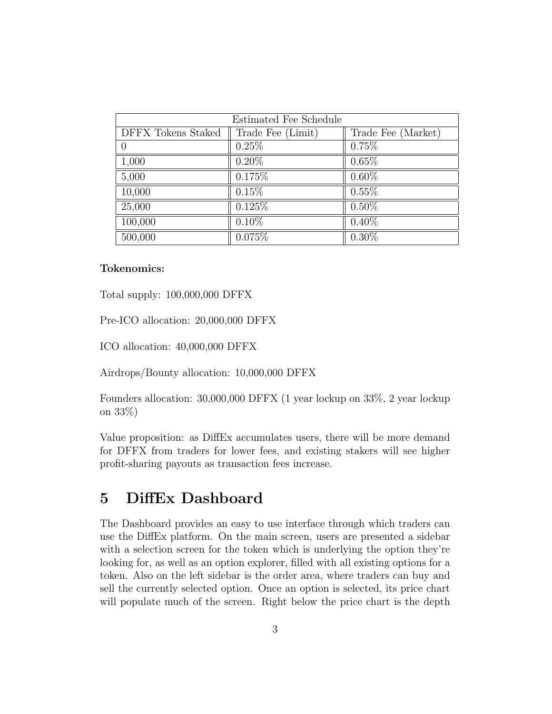| Estimated Fee Schedule |                   |                    |
|------------------------|-------------------|--------------------|
| DFFX Tokens Staked     | Trade Fee (Limit) | Trade Fee (Market) |
| $\overline{0}$         | 0.25%             | 0.75%              |
| 1,000                  | $0.20\%$          | 0.65%              |
| 5,000                  | 0.175%            | $0.60\%$           |
| 10,000                 | 0.15%             | $0.55\%$           |
| 25,000                 | 0.125%            | $0.50\%$           |
| 100,000                | $0.10\%$          | $0.40\%$           |
| 500,000                | 0.075%            | $0.30\%$           |

#### Tokenomics:

Total supply: 100,000,000 DFFX

Pre-ICO allocation: 20,000,000 DFFX

ICO allocation: 40,000,000 DFFX

Airdrops/Bounty allocation: 10,000,000 DFFX

Founders allocation: 30,000,000 DFFX (1 year lockup on 33%, 2 year lockup on 33%)

Value proposition: as DiffEx accumulates users, there will be more demand for DFFX from traders for lower fees, and existing stakers will see higher profit-sharing payouts as transaction fees increase.

### 5 DiffEx Dashboard

The Dashboard provides an easy to use interface through which traders can use the DiffEx platform. On the main screen, users are presented a sidebar with a selection screen for the token which is underlying the option they're looking for, as well as an option explorer, filled with all existing options for a token. Also on the left sidebar is the order area, where traders can buy and sell the currently selected option. Once an option is selected, its price chart will populate much of the screen. Right below the price chart is the depth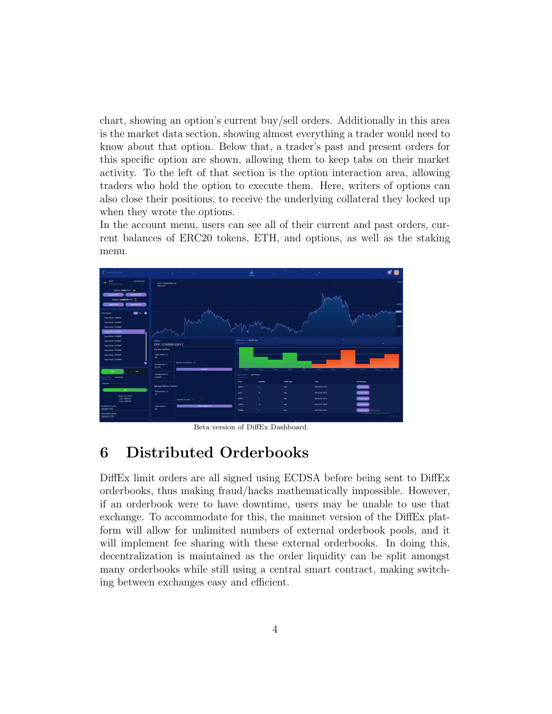chart, showing an option's current buy/sell orders. Additionally in this area is the market data section, showing almost everything a trader would need to know about that option. Below that, a trader's past and present orders for this specific option are shown, allowing them to keep tabs on their market activity. To the left of that section is the option interaction area, allowing traders who hold the option to execute them. Here, writers of options can also close their positions, to receive the underlying collateral they locked up when they wrote the options.

In the account menu, users can see all of their current and past orders, current balances of ERC20 tokens, ETH, and options, as well as the staking menu.



Beta version of DiffEx Dashboard.

### 6 Distributed Orderbooks

DiffEx limit orders are all signed using ECDSA before being sent to DiffEx orderbooks, thus making fraud/hacks mathematically impossible. However, if an orderbook were to have downtime, users may be unable to use that exchange. To accommodate for this, the mainnet version of the DiffEx platform will allow for unlimited numbers of external orderbook pools, and it will implement fee sharing with these external orderbooks. In doing this, decentralization is maintained as the order liquidity can be split amongst many orderbooks while still using a central smart contract, making switching between exchanges easy and efficient.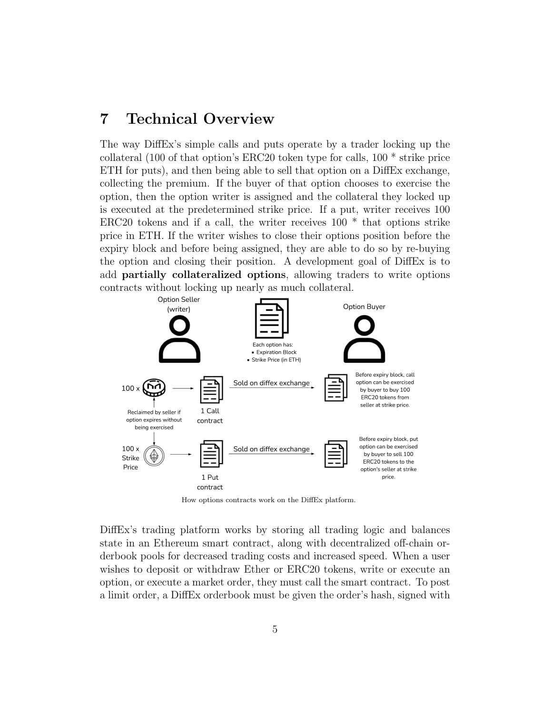### 7 Technical Overview

The way DiffEx's simple calls and puts operate by a trader locking up the collateral (100 of that option's ERC20 token type for calls, 100 \* strike price ETH for puts), and then being able to sell that option on a DiffEx exchange, collecting the premium. If the buyer of that option chooses to exercise the option, then the option writer is assigned and the collateral they locked up is executed at the predetermined strike price. If a put, writer receives 100 ERC20 tokens and if a call, the writer receives  $100 *$  that options strike price in ETH. If the writer wishes to close their options position before the expiry block and before being assigned, they are able to do so by re-buying the option and closing their position. A development goal of DiffEx is to add partially collateralized options, allowing traders to write options contracts without locking up nearly as much collateral.



How options contracts work on the DiffEx platform.

DiffEx's trading platform works by storing all trading logic and balances state in an Ethereum smart contract, along with decentralized off-chain orderbook pools for decreased trading costs and increased speed. When a user wishes to deposit or withdraw Ether or ERC20 tokens, write or execute an option, or execute a market order, they must call the smart contract. To post a limit order, a DiffEx orderbook must be given the order's hash, signed with